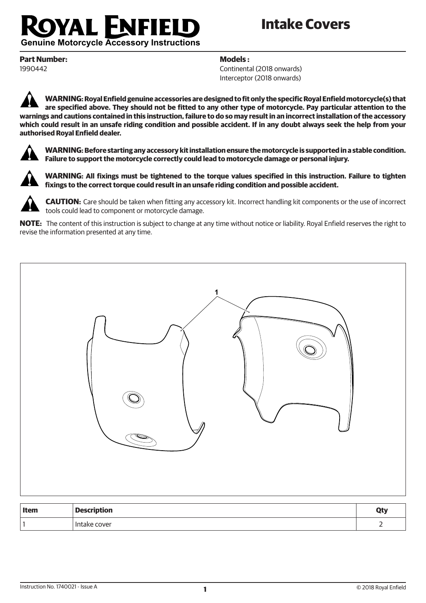## **OYAL ENFIEU**

## **Intake Covers**

**Genuine Motorcycle Accessory Instructions** 

**Part Number:** 1990442

**Models :**

Continental (2018 onwards) Interceptor (2018 onwards)

**WARNING: Royal Enfield genuine accessories are designed to fit only the specific Royal Enfield motorcycle(s) that are specified above. They should not be fitted to any other type of motorcycle. Pay particular attention to the warnings and cautions contained in this instruction, failure to do so may result in an incorrect installation of the accessory which could result in an unsafe riding condition and possible accident. If in any doubt always seek the help from your authorised Royal Enfield dealer.**



**WARNING: Before starting any accessory kit installation ensure the motorcycle is supported in a stable condition. Failure to support the motorcycle correctly could lead to motorcycle damage or personal injury.**



**WARNING: All fixings must be tightened to the torque values specified in this instruction. Failure to tighten fixings to the correct torque could result in an unsafe riding condition and possible accident.**



**CAUTION:** Care should be taken when fitting any accessory kit. Incorrect handling kit components or the use of incorrect tools could lead to component or motorcycle damage.

**NOTE:** The content of this instruction is subject to change at any time without notice or liability. Royal Enfield reserves the right to revise the information presented at any time.



| <b>Item</b> | <b>Description</b> | Ωт. |
|-------------|--------------------|-----|
|             | I Intake cover     |     |